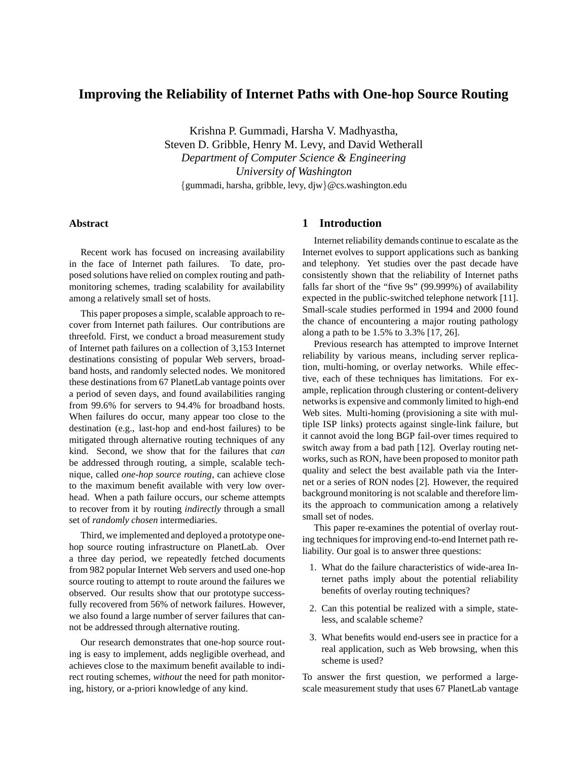# **Improving the Reliability of Internet Paths with One-hop Source Routing**

Krishna P. Gummadi, Harsha V. Madhyastha, Steven D. Gribble, Henry M. Levy, and David Wetherall *Department of Computer Science & Engineering University of Washington* {gummadi, harsha, gribble, levy, djw}@cs.washington.edu

# **Abstract**

Recent work has focused on increasing availability in the face of Internet path failures. To date, proposed solutions have relied on complex routing and pathmonitoring schemes, trading scalability for availability among a relatively small set of hosts.

This paper proposes a simple, scalable approach to recover from Internet path failures. Our contributions are threefold. First, we conduct a broad measurement study of Internet path failures on a collection of 3,153 Internet destinations consisting of popular Web servers, broadband hosts, and randomly selected nodes. We monitored these destinations from 67 PlanetLab vantage points over a period of seven days, and found availabilities ranging from 99.6% for servers to 94.4% for broadband hosts. When failures do occur, many appear too close to the destination (e.g., last-hop and end-host failures) to be mitigated through alternative routing techniques of any kind. Second, we show that for the failures that *can* be addressed through routing, a simple, scalable technique, called *one-hop source routing*, can achieve close to the maximum benefit available with very low overhead. When a path failure occurs, our scheme attempts to recover from it by routing *indirectly* through a small set of *randomly chosen* intermediaries.

Third, we implemented and deployed a prototype onehop source routing infrastructure on PlanetLab. Over a three day period, we repeatedly fetched documents from 982 popular Internet Web servers and used one-hop source routing to attempt to route around the failures we observed. Our results show that our prototype successfully recovered from 56% of network failures. However, we also found a large number of server failures that cannot be addressed through alternative routing.

Our research demonstrates that one-hop source routing is easy to implement, adds negligible overhead, and achieves close to the maximum benefit available to indirect routing schemes, *without* the need for path monitoring, history, or a-priori knowledge of any kind.

# **1 Introduction**

Internet reliability demands continue to escalate as the Internet evolves to support applications such as banking and telephony. Yet studies over the past decade have consistently shown that the reliability of Internet paths falls far short of the "five 9s" (99.999%) of availability expected in the public-switched telephone network [11]. Small-scale studies performed in 1994 and 2000 found the chance of encountering a major routing pathology along a path to be 1.5% to 3.3% [17, 26].

Previous research has attempted to improve Internet reliability by various means, including server replication, multi-homing, or overlay networks. While effective, each of these techniques has limitations. For example, replication through clustering or content-delivery networksis expensive and commonly limited to high-end Web sites. Multi-homing (provisioning a site with multiple ISP links) protects against single-link failure, but it cannot avoid the long BGP fail-over times required to switch away from a bad path [12]. Overlay routing networks, such as RON, have been proposed to monitor path quality and select the best available path via the Internet or a series of RON nodes [2]. However, the required background monitoring is not scalable and therefore limits the approach to communication among a relatively small set of nodes.

This paper re-examines the potential of overlay routing techniques for improving end-to-end Internet path reliability. Our goal is to answer three questions:

- 1. What do the failure characteristics of wide-area Internet paths imply about the potential reliability benefits of overlay routing techniques?
- 2. Can this potential be realized with a simple, stateless, and scalable scheme?
- 3. What benefits would end-users see in practice for a real application, such as Web browsing, when this scheme is used?

To answer the first question, we performed a largescale measurement study that uses 67 PlanetLab vantage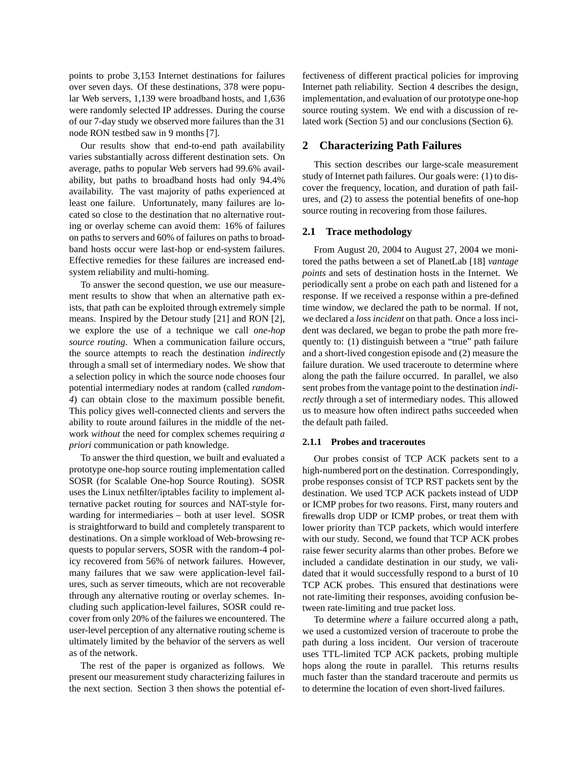points to probe 3,153 Internet destinations for failures over seven days. Of these destinations, 378 were popular Web servers, 1,139 were broadband hosts, and 1,636 were randomly selected IP addresses. During the course of our 7-day study we observed more failures than the 31 node RON testbed saw in 9 months [7].

Our results show that end-to-end path availability varies substantially across different destination sets. On average, paths to popular Web servers had 99.6% availability, but paths to broadband hosts had only 94.4% availability. The vast majority of paths experienced at least one failure. Unfortunately, many failures are located so close to the destination that no alternative routing or overlay scheme can avoid them: 16% of failures on paths to servers and 60% of failures on paths to broadband hosts occur were last-hop or end-system failures. Effective remedies for these failures are increased endsystem reliability and multi-homing.

To answer the second question, we use our measurement results to show that when an alternative path exists, that path can be exploited through extremely simple means. Inspired by the Detour study [21] and RON [2], we explore the use of a technique we call *one-hop source routing*. When a communication failure occurs, the source attempts to reach the destination *indirectly* through a small set of intermediary nodes. We show that a selection policy in which the source node chooses four potential intermediary nodes at random (called *random-4*) can obtain close to the maximum possible benefit. This policy gives well-connected clients and servers the ability to route around failures in the middle of the network *without* the need for complex schemes requiring *a priori* communication or path knowledge.

To answer the third question, we built and evaluated a prototype one-hop source routing implementation called SOSR (for Scalable One-hop Source Routing). SOSR uses the Linux netfilter/iptables facility to implement alternative packet routing for sources and NAT-style forwarding for intermediaries – both at user level. SOSR is straightforward to build and completely transparent to destinations. On a simple workload of Web-browsing requests to popular servers, SOSR with the random-4 policy recovered from 56% of network failures. However, many failures that we saw were application-level failures, such as server timeouts, which are not recoverable through any alternative routing or overlay schemes. Including such application-level failures, SOSR could recover from only 20% of the failures we encountered. The user-level perception of any alternative routing scheme is ultimately limited by the behavior of the servers as well as of the network.

The rest of the paper is organized as follows. We present our measurement study characterizing failures in the next section. Section 3 then shows the potential effectiveness of different practical policies for improving Internet path reliability. Section 4 describes the design, implementation, and evaluation of our prototype one-hop source routing system. We end with a discussion of related work (Section 5) and our conclusions (Section 6).

# **2 Characterizing Path Failures**

This section describes our large-scale measurement study of Internet path failures. Our goals were: (1) to discover the frequency, location, and duration of path failures, and (2) to assess the potential benefits of one-hop source routing in recovering from those failures.

### **2.1 Trace methodology**

From August 20, 2004 to August 27, 2004 we monitored the paths between a set of PlanetLab [18] *vantage points* and sets of destination hosts in the Internet. We periodically sent a probe on each path and listened for a response. If we received a response within a pre-defined time window, we declared the path to be normal. If not, we declared a *loss incident* on that path. Once a loss incident was declared, we began to probe the path more frequently to: (1) distinguish between a "true" path failure and a short-lived congestion episode and (2) measure the failure duration. We used traceroute to determine where along the path the failure occurred. In parallel, we also sent probesfrom the vantage point to the destination *indirectly* through a set of intermediary nodes. This allowed us to measure how often indirect paths succeeded when the default path failed.

#### **2.1.1 Probes and traceroutes**

Our probes consist of TCP ACK packets sent to a high-numbered port on the destination. Correspondingly, probe responses consist of TCP RST packets sent by the destination. We used TCP ACK packets instead of UDP or ICMP probes for two reasons. First, many routers and firewalls drop UDP or ICMP probes, or treat them with lower priority than TCP packets, which would interfere with our study. Second, we found that TCP ACK probes raise fewer security alarms than other probes. Before we included a candidate destination in our study, we validated that it would successfully respond to a burst of 10 TCP ACK probes. This ensured that destinations were not rate-limiting their responses, avoiding confusion between rate-limiting and true packet loss.

To determine *where* a failure occurred along a path, we used a customized version of traceroute to probe the path during a loss incident. Our version of traceroute uses TTL-limited TCP ACK packets, probing multiple hops along the route in parallel. This returns results much faster than the standard traceroute and permits us to determine the location of even short-lived failures.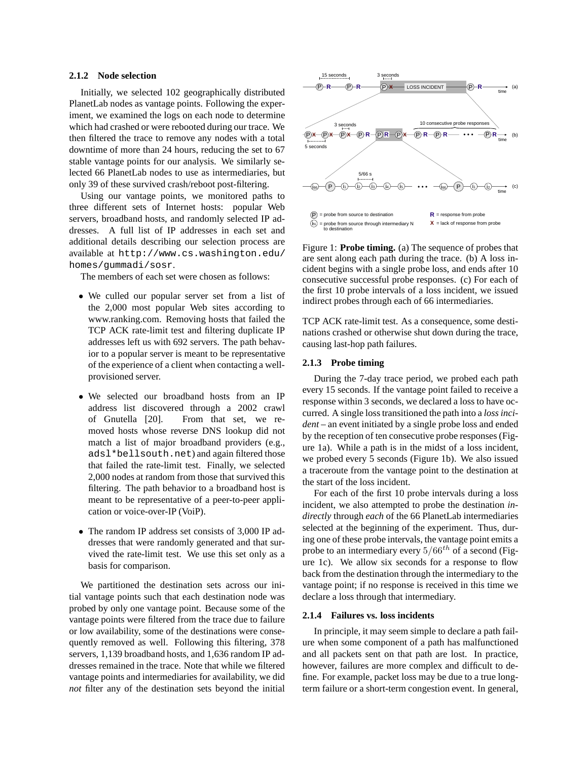## **2.1.2 Node selection**

Initially, we selected 102 geographically distributed PlanetLab nodes as vantage points. Following the experiment, we examined the logs on each node to determine which had crashed or were rebooted during our trace. We then filtered the trace to remove any nodes with a total downtime of more than 24 hours, reducing the set to 67 stable vantage points for our analysis. We similarly selected 66 PlanetLab nodes to use as intermediaries, but only 39 of these survived crash/reboot post-filtering.

Using our vantage points, we monitored paths to three different sets of Internet hosts: popular Web servers, broadband hosts, and randomly selected IP addresses. A full list of IP addresses in each set and additional details describing our selection process are available at http://www.cs.washington.edu/ homes/gummadi/sosr.

The members of each set were chosen as follows:

- We culled our popular server set from a list of the 2,000 most popular Web sites according to www.ranking.com. Removing hosts that failed the TCP ACK rate-limit test and filtering duplicate IP addresses left us with 692 servers. The path behavior to a popular server is meant to be representative of the experience of a client when contacting a wellprovisioned server.
- We selected our broadband hosts from an IP address list discovered through a 2002 crawl of Gnutella [20]. From that set, we removed hosts whose reverse DNS lookup did not match a list of major broadband providers (e.g., adsl\*bellsouth.net) and again filtered those that failed the rate-limit test. Finally, we selected 2,000 nodes at random from those that survived this filtering. The path behavior to a broadband host is meant to be representative of a peer-to-peer application or voice-over-IP (VoiP).
- The random IP address set consists of 3,000 IP addresses that were randomly generated and that survived the rate-limit test. We use this set only as a basis for comparison.

We partitioned the destination sets across our initial vantage points such that each destination node was probed by only one vantage point. Because some of the vantage points were filtered from the trace due to failure or low availability, some of the destinations were consequently removed as well. Following this filtering, 378 servers, 1,139 broadband hosts, and 1,636 random IP addresses remained in the trace. Note that while we filtered vantage points and intermediaries for availability, we did *not* filter any of the destination sets beyond the initial



Figure 1: **Probe timing.** (a) The sequence of probes that are sent along each path during the trace. (b) A loss incident begins with a single probe loss, and ends after 10 consecutive successful probe responses. (c) For each of the first 10 probe intervals of a loss incident, we issued indirect probes through each of 66 intermediaries.

TCP ACK rate-limit test. As a consequence, some destinations crashed or otherwise shut down during the trace, causing last-hop path failures.

## **2.1.3 Probe timing**

During the 7-day trace period, we probed each path every 15 seconds. If the vantage point failed to receive a response within 3 seconds, we declared a loss to have occurred. A single loss transitioned the path into a *loss incident* – an event initiated by a single probe loss and ended by the reception of ten consecutive probe responses (Figure 1a). While a path is in the midst of a loss incident, we probed every 5 seconds (Figure 1b). We also issued a traceroute from the vantage point to the destination at the start of the loss incident.

For each of the first 10 probe intervals during a loss incident, we also attempted to probe the destination *indirectly* through *each* of the 66 PlanetLab intermediaries selected at the beginning of the experiment. Thus, during one of these probe intervals, the vantage point emits a probe to an intermediary every  $5/66^{th}$  of a second (Figure 1c). We allow six seconds for a response to flow back from the destination through the intermediary to the vantage point; if no response is received in this time we declare a loss through that intermediary.

### **2.1.4 Failures vs. loss incidents**

In principle, it may seem simple to declare a path failure when some component of a path has malfunctioned and all packets sent on that path are lost. In practice, however, failures are more complex and difficult to define. For example, packet loss may be due to a true longterm failure or a short-term congestion event. In general,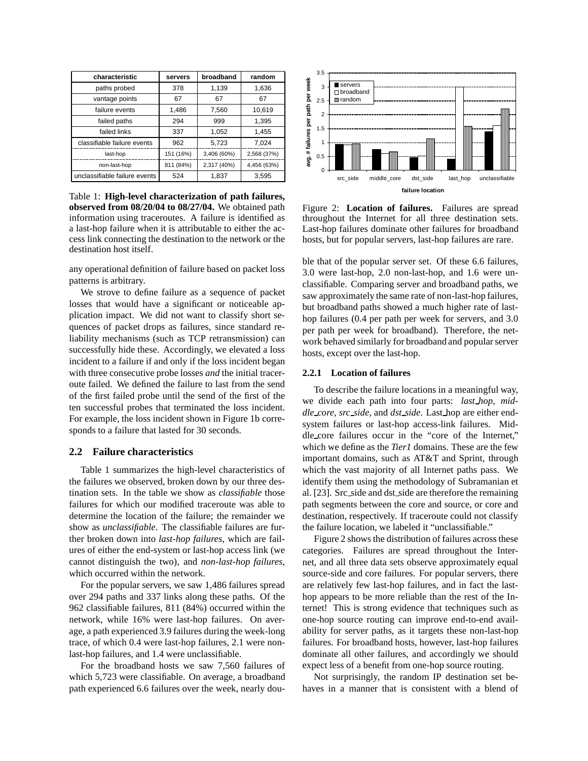| characteristic                | servers   | broadband   | random      |  |
|-------------------------------|-----------|-------------|-------------|--|
| paths probed                  | 378       | 1,139       | 1,636       |  |
| vantage points                | 67        | 67          | 67          |  |
| failure events                | 1.486     | 7,560       | 10,619      |  |
| failed paths                  | 294       | 999         | 1,395       |  |
| failed links                  | 337       | 1.052       | 1,455       |  |
| classifiable failure events   | 962       | 5,723       | 7.024       |  |
| last-hop                      | 151 (16%) | 3,406 (60%) | 2,568 (37%) |  |
| non-last-hop                  | 811 (84%) | 2,317 (40%) | 4,456 (63%) |  |
| unclassifiable failure events | 524       | 1,837       | 3,595       |  |

Table 1: **High-level characterization of path failures, observed from 08/20/04 to 08/27/04.** We obtained path information using traceroutes. A failure is identified as a last-hop failure when it is attributable to either the access link connecting the destination to the network or the destination host itself.

any operational definition of failure based on packet loss patterns is arbitrary.

We strove to define failure as a sequence of packet losses that would have a significant or noticeable application impact. We did not want to classify short sequences of packet drops as failures, since standard reliability mechanisms (such as TCP retransmission) can successfully hide these. Accordingly, we elevated a loss incident to a failure if and only if the loss incident began with three consecutive probe losses *and* the initial traceroute failed. We defined the failure to last from the send of the first failed probe until the send of the first of the ten successful probes that terminated the loss incident. For example, the loss incident shown in Figure 1b corresponds to a failure that lasted for 30 seconds.

### **2.2 Failure characteristics**

Table 1 summarizes the high-level characteristics of the failures we observed, broken down by our three destination sets. In the table we show as *classifiable* those failures for which our modified traceroute was able to determine the location of the failure; the remainder we show as *unclassifiable*. The classifiable failures are further broken down into *last-hop failures*, which are failures of either the end-system or last-hop access link (we cannot distinguish the two), and *non-last-hop failures*, which occurred within the network.

For the popular servers, we saw 1,486 failures spread over 294 paths and 337 links along these paths. Of the 962 classifiable failures, 811 (84%) occurred within the network, while 16% were last-hop failures. On average, a path experienced 3.9 failures during the week-long trace, of which 0.4 were last-hop failures, 2.1 were nonlast-hop failures, and 1.4 were unclassifiable.

For the broadband hosts we saw 7,560 failures of which 5,723 were classifiable. On average, a broadband path experienced 6.6 failures over the week, nearly dou-



Figure 2: **Location of failures.** Failures are spread throughout the Internet for all three destination sets. Last-hop failures dominate other failures for broadband hosts, but for popular servers, last-hop failures are rare.

ble that of the popular server set. Of these 6.6 failures, 3.0 were last-hop, 2.0 non-last-hop, and 1.6 were unclassifiable. Comparing server and broadband paths, we saw approximately the same rate of non-last-hop failures, but broadband paths showed a much higher rate of lasthop failures (0.4 per path per week for servers, and 3.0 per path per week for broadband). Therefore, the network behaved similarly for broadband and popular server hosts, except over the last-hop.

### **2.2.1 Location of failures**

To describe the failure locations in a meaningful way, we divide each path into four parts: *last hop*, *middle core*, *src side*, and *dst side*. Last hop are either endsystem failures or last-hop access-link failures. Middle core failures occur in the "core of the Internet," which we define as the *Tier1* domains. These are the few important domains, such as AT&T and Sprint, through which the vast majority of all Internet paths pass. We identify them using the methodology of Subramanian et al. [23]. Src side and dst side are therefore the remaining path segments between the core and source, or core and destination, respectively. If traceroute could not classify the failure location, we labeled it "unclassifiable."

Figure 2 shows the distribution of failures across these categories. Failures are spread throughout the Internet, and all three data sets observe approximately equal source-side and core failures. For popular servers, there are relatively few last-hop failures, and in fact the lasthop appears to be more reliable than the rest of the Internet! This is strong evidence that techniques such as one-hop source routing can improve end-to-end availability for server paths, as it targets these non-last-hop failures. For broadband hosts, however, last-hop failures dominate all other failures, and accordingly we should expect less of a benefit from one-hop source routing.

Not surprisingly, the random IP destination set behaves in a manner that is consistent with a blend of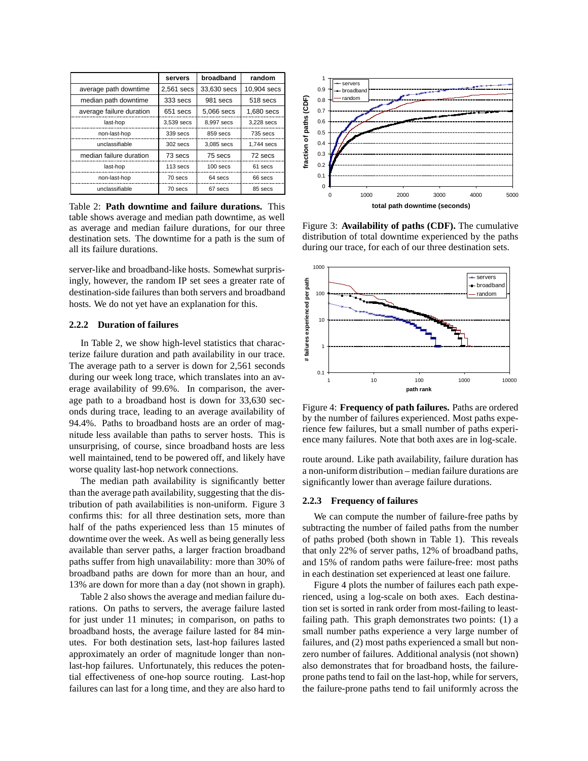|                          | broadband<br>servers |             | random      |  |
|--------------------------|----------------------|-------------|-------------|--|
| average path downtime    | 2,561 secs           | 33,630 secs | 10.904 secs |  |
| median path downtime     | 333 secs             | 981 secs    | 518 secs    |  |
| average failure duration | 651 secs             | 5,066 secs  | 1,680 secs  |  |
| last-hop                 | 3,539 secs           | 8.997 secs  | 3.228 secs  |  |
| non-last-hop             | 339 secs             | 859 secs    | $735$ secs  |  |
| unclassifiable           | $302$ secs           | 3.085 secs  | 1.744 secs  |  |
| median failure duration  | 73 secs              | 75 secs     | 72 secs     |  |
| last-hop                 | $113$ secs           | $100$ secs  | 61 secs     |  |
| non-last-hop             | 64 secs<br>70 secs   |             | 66 secs     |  |
| unclassifiable           | 70 secs              | 67 secs     | 85 secs     |  |

Table 2: **Path downtime and failure durations.** This table shows average and median path downtime, as well as average and median failure durations, for our three destination sets. The downtime for a path is the sum of all its failure durations.

server-like and broadband-like hosts. Somewhat surprisingly, however, the random IP set sees a greater rate of destination-side failures than both servers and broadband hosts. We do not yet have an explanation for this.

### **2.2.2 Duration of failures**

In Table 2, we show high-level statistics that characterize failure duration and path availability in our trace. The average path to a server is down for 2,561 seconds during our week long trace, which translates into an average availability of 99.6%. In comparison, the average path to a broadband host is down for 33,630 seconds during trace, leading to an average availability of 94.4%. Paths to broadband hosts are an order of magnitude less available than paths to server hosts. This is unsurprising, of course, since broadband hosts are less well maintained, tend to be powered off, and likely have worse quality last-hop network connections.

The median path availability is significantly better than the average path availability, suggesting that the distribution of path availabilities is non-uniform. Figure 3 confirms this: for all three destination sets, more than half of the paths experienced less than 15 minutes of downtime over the week. As well as being generally less available than server paths, a larger fraction broadband paths suffer from high unavailability: more than 30% of broadband paths are down for more than an hour, and 13% are down for more than a day (not shown in graph).

Table 2 also shows the average and median failure durations. On paths to servers, the average failure lasted for just under 11 minutes; in comparison, on paths to broadband hosts, the average failure lasted for 84 minutes. For both destination sets, last-hop failures lasted approximately an order of magnitude longer than nonlast-hop failures. Unfortunately, this reduces the potential effectiveness of one-hop source routing. Last-hop failures can last for a long time, and they are also hard to



Figure 3: **Availability of paths (CDF).** The cumulative distribution of total downtime experienced by the paths during our trace, for each of our three destination sets.



Figure 4: **Frequency of path failures.** Paths are ordered by the number of failures experienced. Most paths experience few failures, but a small number of paths experience many failures. Note that both axes are in log-scale.

route around. Like path availability, failure duration has a non-uniform distribution – median failure durations are significantly lower than average failure durations.

#### **2.2.3 Frequency of failures**

We can compute the number of failure-free paths by subtracting the number of failed paths from the number of paths probed (both shown in Table 1). This reveals that only 22% of server paths, 12% of broadband paths, and 15% of random paths were failure-free: most paths in each destination set experienced at least one failure.

Figure 4 plots the number of failures each path experienced, using a log-scale on both axes. Each destination set is sorted in rank order from most-failing to leastfailing path. This graph demonstrates two points: (1) a small number paths experience a very large number of failures, and (2) most paths experienced a small but nonzero number of failures. Additional analysis (not shown) also demonstrates that for broadband hosts, the failureprone paths tend to fail on the last-hop, while for servers, the failure-prone paths tend to fail uniformly across the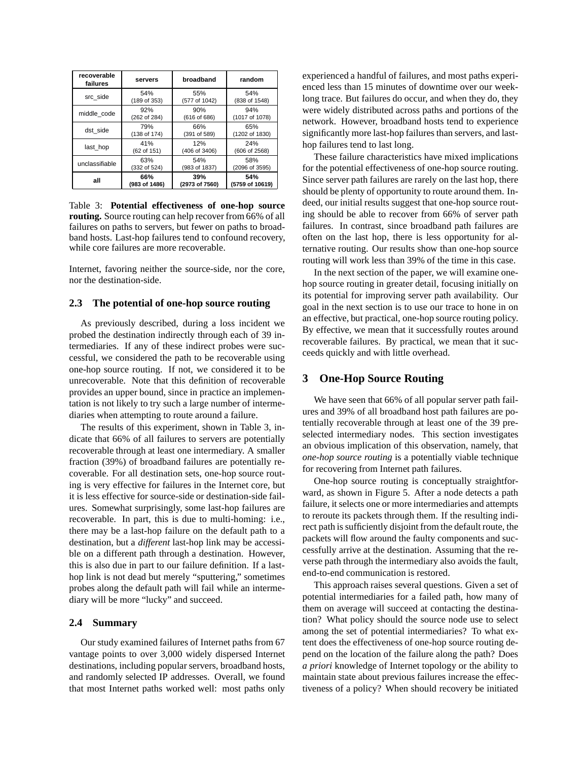| recoverable<br>failures               | servers       | broadband            | random                |  |
|---------------------------------------|---------------|----------------------|-----------------------|--|
| src side                              | 54%           | 55%                  | 54%                   |  |
|                                       | (189 of 353)  | (577 of 1042)        | (838 of 1548)         |  |
| middle code                           | 92%           | 90%                  | 94%                   |  |
|                                       | (262 of 284)  | (616 of 686)         | (1017 of 1078)        |  |
| dst side                              | 79%           | 66%                  | 65%                   |  |
|                                       | (138 of 174)  | (391 of 589)         | (1202 of 1830)        |  |
| 41%<br>last hop<br>(62 of 151)        |               | 12%<br>(406 of 3406) | 24%<br>(606 of 2568)  |  |
| 63%<br>unclassifiable<br>(332 of 524) |               | 54%<br>(983 of 1837) | 58%<br>(2096 of 3595) |  |
| all                                   | 66%           | 39%                  | 54%                   |  |
|                                       | (983 of 1486) | (2973 of 7560)       | (5759 of 10619)       |  |

Table 3: **Potential effectiveness of one-hop source routing.** Source routing can help recover from 66% of all failures on paths to servers, but fewer on paths to broadband hosts. Last-hop failures tend to confound recovery, while core failures are more recoverable.

Internet, favoring neither the source-side, nor the core, nor the destination-side.

## **2.3 The potential of one-hop source routing**

As previously described, during a loss incident we probed the destination indirectly through each of 39 intermediaries. If any of these indirect probes were successful, we considered the path to be recoverable using one-hop source routing. If not, we considered it to be unrecoverable. Note that this definition of recoverable provides an upper bound, since in practice an implementation is not likely to try such a large number of intermediaries when attempting to route around a failure.

The results of this experiment, shown in Table 3, indicate that 66% of all failures to servers are potentially recoverable through at least one intermediary. A smaller fraction (39%) of broadband failures are potentially recoverable. For all destination sets, one-hop source routing is very effective for failures in the Internet core, but it is less effective for source-side or destination-side failures. Somewhat surprisingly, some last-hop failures are recoverable. In part, this is due to multi-homing: i.e., there may be a last-hop failure on the default path to a destination, but a *different* last-hop link may be accessible on a different path through a destination. However, this is also due in part to our failure definition. If a lasthop link is not dead but merely "sputtering," sometimes probes along the default path will fail while an intermediary will be more "lucky" and succeed.

### **2.4 Summary**

Our study examined failures of Internet paths from 67 vantage points to over 3,000 widely dispersed Internet destinations, including popular servers, broadband hosts, and randomly selected IP addresses. Overall, we found that most Internet paths worked well: most paths only experienced a handful of failures, and most paths experienced less than 15 minutes of downtime over our weeklong trace. But failures do occur, and when they do, they were widely distributed across paths and portions of the network. However, broadband hosts tend to experience significantly more last-hop failures than servers, and lasthop failures tend to last long.

These failure characteristics have mixed implications for the potential effectiveness of one-hop source routing. Since server path failures are rarely on the last hop, there should be plenty of opportunity to route around them. Indeed, our initial results suggest that one-hop source routing should be able to recover from 66% of server path failures. In contrast, since broadband path failures are often on the last hop, there is less opportunity for alternative routing. Our results show than one-hop source routing will work less than 39% of the time in this case.

In the next section of the paper, we will examine onehop source routing in greater detail, focusing initially on its potential for improving server path availability. Our goal in the next section is to use our trace to hone in on an effective, but practical, one-hop source routing policy. By effective, we mean that it successfully routes around recoverable failures. By practical, we mean that it succeeds quickly and with little overhead.

# **3 One-Hop Source Routing**

We have seen that 66% of all popular server path failures and 39% of all broadband host path failures are potentially recoverable through at least one of the 39 preselected intermediary nodes. This section investigates an obvious implication of this observation, namely, that *one-hop source routing* is a potentially viable technique for recovering from Internet path failures.

One-hop source routing is conceptually straightforward, as shown in Figure 5. After a node detects a path failure, it selects one or more intermediaries and attempts to reroute its packets through them. If the resulting indirect path is sufficiently disjoint from the default route, the packets will flow around the faulty components and successfully arrive at the destination. Assuming that the reverse path through the intermediary also avoids the fault, end-to-end communication is restored.

This approach raises several questions. Given a set of potential intermediaries for a failed path, how many of them on average will succeed at contacting the destination? What policy should the source node use to select among the set of potential intermediaries? To what extent does the effectiveness of one-hop source routing depend on the location of the failure along the path? Does *a priori* knowledge of Internet topology or the ability to maintain state about previous failures increase the effectiveness of a policy? When should recovery be initiated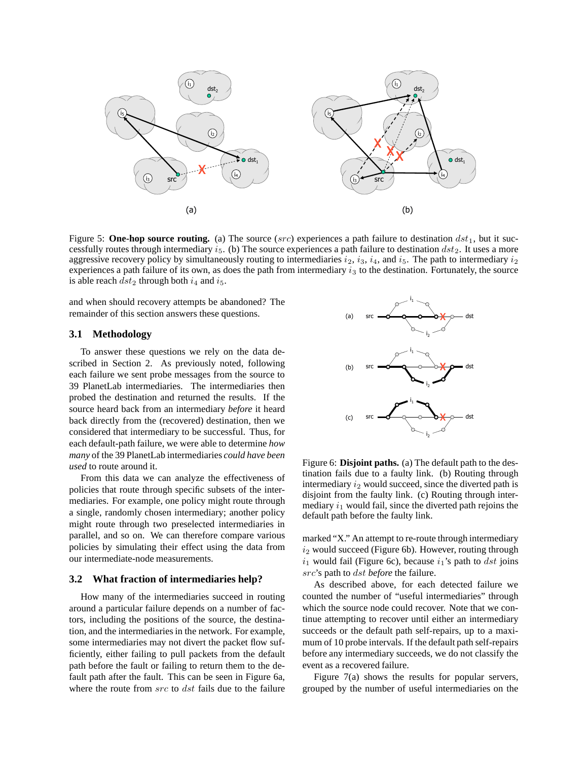

Figure 5: **One-hop source routing.** (a) The source (src) experiences a path failure to destination  $dst_1$ , but it successfully routes through intermediary  $i_5$ . (b) The source experiences a path failure to destination  $dst_2$ . It uses a more aggressive recovery policy by simultaneously routing to intermediaries  $i_2$ ,  $i_3$ ,  $i_4$ , and  $i_5$ . The path to intermediary  $i_2$ experiences a path failure of its own, as does the path from intermediary  $i<sub>3</sub>$  to the destination. Fortunately, the source is able reach  $dst_2$  through both  $i_4$  and  $i_5$ .

and when should recovery attempts be abandoned? The remainder of this section answers these questions.

#### **3.1 Methodology**

To answer these questions we rely on the data described in Section 2. As previously noted, following each failure we sent probe messages from the source to 39 PlanetLab intermediaries. The intermediaries then probed the destination and returned the results. If the source heard back from an intermediary *before* it heard back directly from the (recovered) destination, then we considered that intermediary to be successful. Thus, for each default-path failure, we were able to determine *how many* of the 39 PlanetLab intermediaries *could have been used* to route around it.

From this data we can analyze the effectiveness of policies that route through specific subsets of the intermediaries. For example, one policy might route through a single, randomly chosen intermediary; another policy might route through two preselected intermediaries in parallel, and so on. We can therefore compare various policies by simulating their effect using the data from our intermediate-node measurements.

#### **3.2 What fraction of intermediaries help?**

How many of the intermediaries succeed in routing around a particular failure depends on a number of factors, including the positions of the source, the destination, and the intermediaries in the network. For example, some intermediaries may not divert the packet flow sufficiently, either failing to pull packets from the default path before the fault or failing to return them to the default path after the fault. This can be seen in Figure 6a, where the route from src to dst fails due to the failure



Figure 6: **Disjoint paths.** (a) The default path to the destination fails due to a faulty link. (b) Routing through intermediary  $i_2$  would succeed, since the diverted path is disjoint from the faulty link. (c) Routing through intermediary  $i_1$  would fail, since the diverted path rejoins the default path before the faulty link.

marked "X." An attempt to re-route through intermediary  $i_2$  would succeed (Figure 6b). However, routing through  $i_1$  would fail (Figure 6c), because  $i_1$ 's path to dst joins src's path to dst *before* the failure.

As described above, for each detected failure we counted the number of "useful intermediaries" through which the source node could recover. Note that we continue attempting to recover until either an intermediary succeeds or the default path self-repairs, up to a maximum of 10 probe intervals. If the default path self-repairs before any intermediary succeeds, we do not classify the event as a recovered failure.

Figure 7(a) shows the results for popular servers, grouped by the number of useful intermediaries on the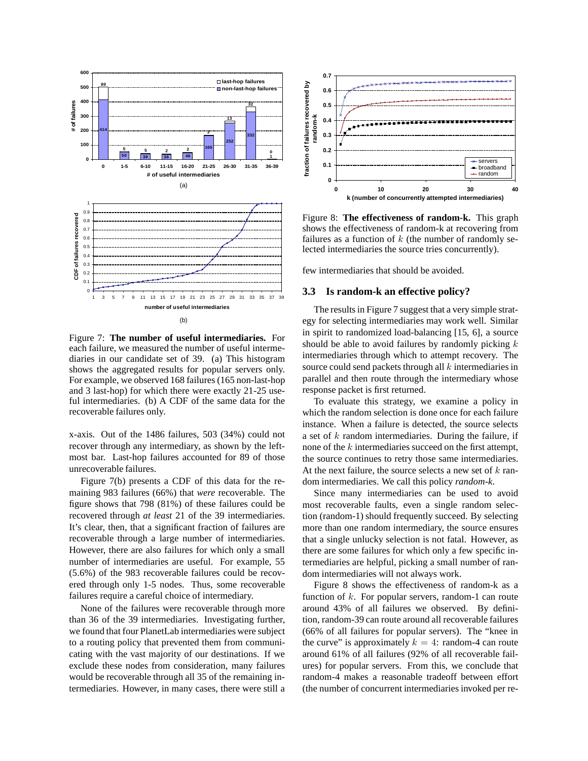

Figure 7: **The number of useful intermediaries.** For each failure, we measured the number of useful intermediaries in our candidate set of 39. (a) This histogram shows the aggregated results for popular servers only. For example, we observed 168 failures (165 non-last-hop and 3 last-hop) for which there were exactly 21-25 useful intermediaries. (b) A CDF of the same data for the recoverable failures only.

x-axis. Out of the 1486 failures, 503 (34%) could not recover through any intermediary, as shown by the leftmost bar. Last-hop failures accounted for 89 of those unrecoverable failures.

Figure 7(b) presents a CDF of this data for the remaining 983 failures (66%) that *were* recoverable. The figure shows that 798 (81%) of these failures could be recovered through *at least* 21 of the 39 intermediaries. It's clear, then, that a significant fraction of failures are recoverable through a large number of intermediaries. However, there are also failures for which only a small number of intermediaries are useful. For example, 55 (5.6%) of the 983 recoverable failures could be recovered through only 1-5 nodes. Thus, some recoverable failures require a careful choice of intermediary.

None of the failures were recoverable through more than 36 of the 39 intermediaries. Investigating further, we found that four PlanetLab intermediaries were subject to a routing policy that prevented them from communicating with the vast majority of our destinations. If we exclude these nodes from consideration, many failures would be recoverable through all 35 of the remaining intermediaries. However, in many cases, there were still a



Figure 8: **The effectiveness of random-k.** This graph shows the effectiveness of random-k at recovering from failures as a function of  $k$  (the number of randomly selected intermediaries the source tries concurrently).

few intermediaries that should be avoided.

# **3.3 Is random-k an effective policy?**

The results in Figure 7 suggest that a very simple strategy for selecting intermediaries may work well. Similar in spirit to randomized load-balancing [15, 6], a source should be able to avoid failures by randomly picking  $k$ intermediaries through which to attempt recovery. The source could send packets through all  $k$  intermediaries in parallel and then route through the intermediary whose response packet is first returned.

To evaluate this strategy, we examine a policy in which the random selection is done once for each failure instance. When a failure is detected, the source selects a set of k random intermediaries. During the failure, if none of the  $k$  intermediaries succeed on the first attempt, the source continues to retry those same intermediaries. At the next failure, the source selects a new set of  $k$  random intermediaries. We call this policy *random-k*.

Since many intermediaries can be used to avoid most recoverable faults, even a single random selection (random-1) should frequently succeed. By selecting more than one random intermediary, the source ensures that a single unlucky selection is not fatal. However, as there are some failures for which only a few specific intermediaries are helpful, picking a small number of random intermediaries will not always work.

Figure 8 shows the effectiveness of random-k as a function of  $k$ . For popular servers, random-1 can route around 43% of all failures we observed. By definition, random-39 can route around all recoverable failures (66% of all failures for popular servers). The "knee in the curve" is approximately  $k = 4$ : random-4 can route around 61% of all failures (92% of all recoverable failures) for popular servers. From this, we conclude that random-4 makes a reasonable tradeoff between effort (the number of concurrent intermediaries invoked per re-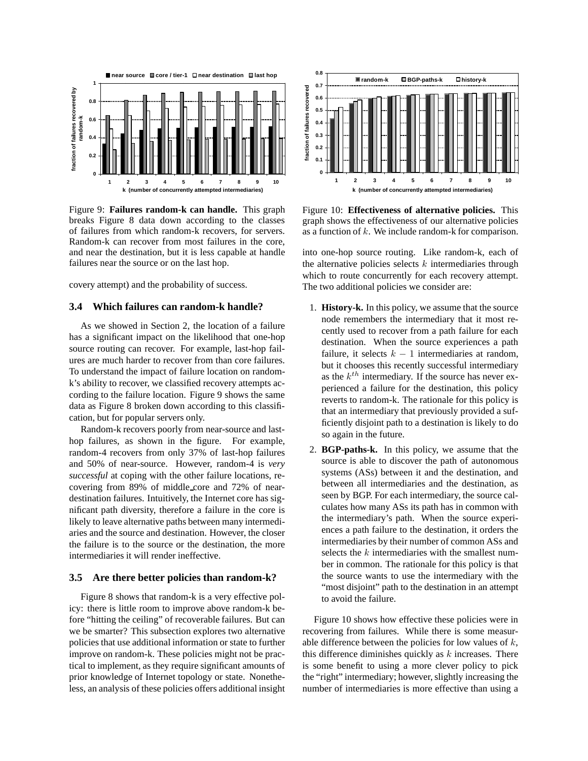

Figure 9: **Failures random-k can handle.** This graph breaks Figure 8 data down according to the classes of failures from which random-k recovers, for servers. Random-k can recover from most failures in the core, and near the destination, but it is less capable at handle failures near the source or on the last hop.

covery attempt) and the probability of success.

# **3.4 Which failures can random-k handle?**

As we showed in Section 2, the location of a failure has a significant impact on the likelihood that one-hop source routing can recover. For example, last-hop failures are much harder to recover from than core failures. To understand the impact of failure location on randomk's ability to recover, we classified recovery attempts according to the failure location. Figure 9 shows the same data as Figure 8 broken down according to this classification, but for popular servers only.

Random-k recovers poorly from near-source and lasthop failures, as shown in the figure. For example, random-4 recovers from only 37% of last-hop failures and 50% of near-source. However, random-4 is *very successful* at coping with the other failure locations, recovering from 89% of middle core and 72% of neardestination failures. Intuitively, the Internet core has significant path diversity, therefore a failure in the core is likely to leave alternative paths between many intermediaries and the source and destination. However, the closer the failure is to the source or the destination, the more intermediaries it will render ineffective.

### **3.5 Are there better policies than random-k?**

Figure 8 shows that random-k is a very effective policy: there is little room to improve above random-k before "hitting the ceiling" of recoverable failures. But can we be smarter? This subsection explores two alternative policies that use additional information or state to further improve on random-k. These policies might not be practical to implement, as they require significant amounts of prior knowledge of Internet topology or state. Nonetheless, an analysis of these policies offers additional insight



Figure 10: **Effectiveness of alternative policies.** This graph shows the effectiveness of our alternative policies as a function of k. We include random-k for comparison.

into one-hop source routing. Like random-k, each of the alternative policies selects  $k$  intermediaries through which to route concurrently for each recovery attempt. The two additional policies we consider are:

- 1. **History-k.** In this policy, we assume that the source node remembers the intermediary that it most recently used to recover from a path failure for each destination. When the source experiences a path failure, it selects  $k - 1$  intermediaries at random, but it chooses this recently successful intermediary as the  $k^{th}$  intermediary. If the source has never experienced a failure for the destination, this policy reverts to random-k. The rationale for this policy is that an intermediary that previously provided a sufficiently disjoint path to a destination is likely to do so again in the future.
- 2. **BGP-paths-k.** In this policy, we assume that the source is able to discover the path of autonomous systems (ASs) between it and the destination, and between all intermediaries and the destination, as seen by BGP. For each intermediary, the source calculates how many ASs its path has in common with the intermediary's path. When the source experiences a path failure to the destination, it orders the intermediaries by their number of common ASs and selects the k intermediaries with the smallest number in common. The rationale for this policy is that the source wants to use the intermediary with the "most disjoint" path to the destination in an attempt to avoid the failure.

Figure 10 shows how effective these policies were in recovering from failures. While there is some measurable difference between the policies for low values of  $k$ , this difference diminishes quickly as  $k$  increases. There is some benefit to using a more clever policy to pick the "right" intermediary; however, slightly increasing the number of intermediaries is more effective than using a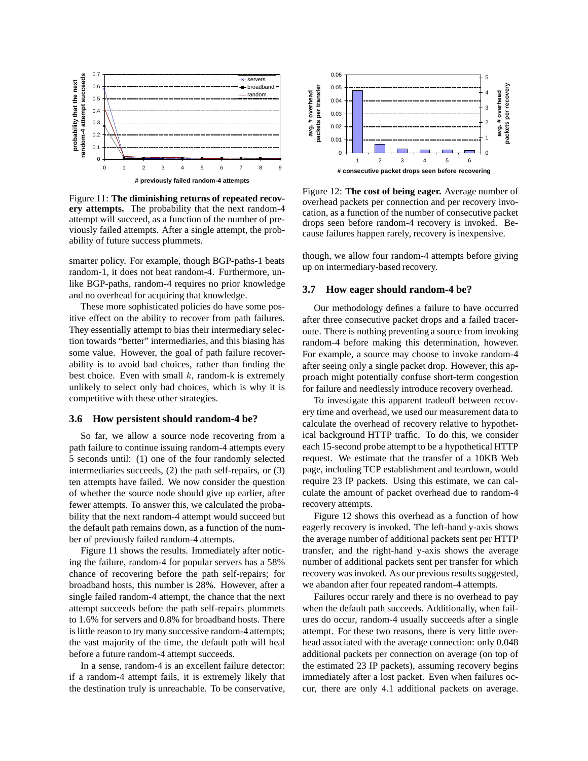

Figure 11: **The diminishing returns of repeated recovery attempts.** The probability that the next random-4 attempt will succeed, as a function of the number of previously failed attempts. After a single attempt, the probability of future success plummets.

smarter policy. For example, though BGP-paths-1 beats random-1, it does not beat random-4. Furthermore, unlike BGP-paths, random-4 requires no prior knowledge and no overhead for acquiring that knowledge.

These more sophisticated policies do have some positive effect on the ability to recover from path failures. They essentially attempt to bias their intermediary selection towards "better" intermediaries, and this biasing has some value. However, the goal of path failure recoverability is to avoid bad choices, rather than finding the best choice. Even with small  $k$ , random-k is extremely unlikely to select only bad choices, which is why it is competitive with these other strategies.

### **3.6 How persistent should random-4 be?**

So far, we allow a source node recovering from a path failure to continue issuing random-4 attempts every 5 seconds until: (1) one of the four randomly selected intermediaries succeeds, (2) the path self-repairs, or (3) ten attempts have failed. We now consider the question of whether the source node should give up earlier, after fewer attempts. To answer this, we calculated the probability that the next random-4 attempt would succeed but the default path remains down, as a function of the number of previously failed random-4 attempts.

Figure 11 shows the results. Immediately after noticing the failure, random-4 for popular servers has a 58% chance of recovering before the path self-repairs; for broadband hosts, this number is 28%. However, after a single failed random-4 attempt, the chance that the next attempt succeeds before the path self-repairs plummets to 1.6% for servers and 0.8% for broadband hosts. There is little reason to try many successive random-4 attempts; the vast majority of the time, the default path will heal before a future random-4 attempt succeeds.

In a sense, random-4 is an excellent failure detector: if a random-4 attempt fails, it is extremely likely that the destination truly is unreachable. To be conservative,



Figure 12: **The cost of being eager.** Average number of overhead packets per connection and per recovery invocation, as a function of the number of consecutive packet drops seen before random-4 recovery is invoked. Because failures happen rarely, recovery is inexpensive.

though, we allow four random-4 attempts before giving up on intermediary-based recovery.

#### **3.7 How eager should random-4 be?**

Our methodology defines a failure to have occurred after three consecutive packet drops and a failed traceroute. There is nothing preventing a source from invoking random-4 before making this determination, however. For example, a source may choose to invoke random-4 after seeing only a single packet drop. However, this approach might potentially confuse short-term congestion for failure and needlessly introduce recovery overhead.

To investigate this apparent tradeoff between recovery time and overhead, we used our measurement data to calculate the overhead of recovery relative to hypothetical background HTTP traffic. To do this, we consider each 15-second probe attempt to be a hypothetical HTTP request. We estimate that the transfer of a 10KB Web page, including TCP establishment and teardown, would require 23 IP packets. Using this estimate, we can calculate the amount of packet overhead due to random-4 recovery attempts.

Figure 12 shows this overhead as a function of how eagerly recovery is invoked. The left-hand y-axis shows the average number of additional packets sent per HTTP transfer, and the right-hand y-axis shows the average number of additional packets sent per transfer for which recovery was invoked. As our previous results suggested, we abandon after four repeated random-4 attempts.

Failures occur rarely and there is no overhead to pay when the default path succeeds. Additionally, when failures do occur, random-4 usually succeeds after a single attempt. For these two reasons, there is very little overhead associated with the average connection: only 0.048 additional packets per connection on average (on top of the estimated 23 IP packets), assuming recovery begins immediately after a lost packet. Even when failures occur, there are only 4.1 additional packets on average.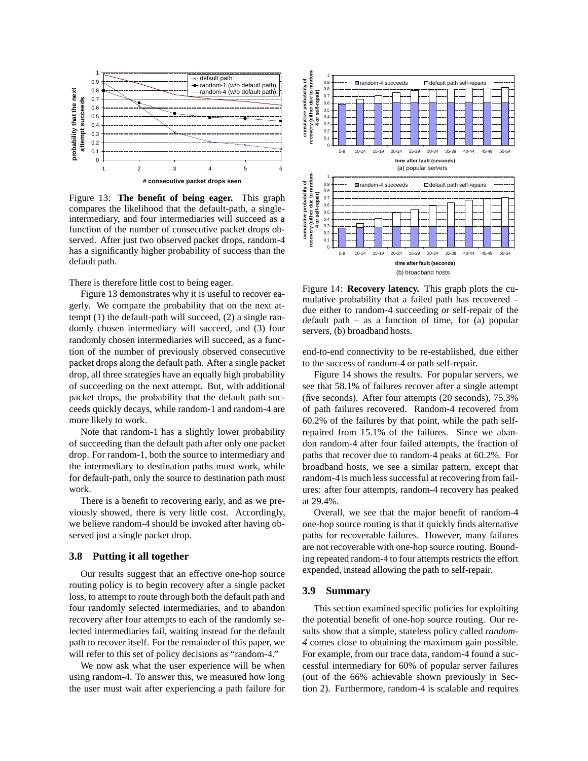

Figure 13: **The benefit of being eager.** This graph compares the likelihood that the default-path, a singleintermediary, and four intermediaries will succeed as a function of the number of consecutive packet drops observed. After just two observed packet drops, random-4 has a significantly higher probability of success than the default path.

There is therefore little cost to being eager.

Figure 13 demonstrates why it is useful to recover eagerly. We compare the probability that on the next attempt (1) the default-path will succeed, (2) a single randomly chosen intermediary will succeed, and (3) four randomly chosen intermediaries will succeed, as a function of the number of previously observed consecutive packet drops along the default path. After a single packet drop, all three strategies have an equally high probability of succeeding on the next attempt. But, with additional packet drops, the probability that the default path succeeds quickly decays, while random-1 and random-4 are more likely to work.

Note that random-1 has a slightly lower probability of succeeding than the default path after only one packet drop. For random-1, both the source to intermediary and the intermediary to destination paths must work, while for default-path, only the source to destination path must work.

There is a benefit to recovering early, and as we previously showed, there is very little cost. Accordingly, we believe random-4 should be invoked after having observed just a single packet drop.

# **3.8 Putting it all together**

Our results suggest that an effective one-hop source routing policy is to begin recovery after a single packet loss, to attempt to route through both the default path and four randomly selected intermediaries, and to abandon recovery after four attempts to each of the randomly selected intermediaries fail, waiting instead for the default path to recover itself. For the remainder of this paper, we will refer to this set of policy decisions as "random-4."

We now ask what the user experience will be when using random-4. To answer this, we measured how long the user must wait after experiencing a path failure for



Figure 14: **Recovery latency.** This graph plots the cumulative probability that a failed path has recovered – due either to random-4 succeeding or self-repair of the default path – as a function of time, for  $(a)$  popular servers, (b) broadband hosts.

end-to-end connectivity to be re-established, due either to the success of random-4 or path self-repair.

Figure 14 shows the results. For popular servers, we see that 58.1% of failures recover after a single attempt (five seconds). After four attempts (20 seconds), 75.3% of path failures recovered. Random-4 recovered from 60.2% of the failures by that point, while the path selfrepaired from 15.1% of the failures. Since we abandon random-4 after four failed attempts, the fraction of paths that recover due to random-4 peaks at 60.2%. For broadband hosts, we see a similar pattern, except that random-4 is much less successful at recovering from failures: after four attempts, random-4 recovery has peaked at 29.4%.

Overall, we see that the major benefit of random-4 one-hop source routing is that it quickly finds alternative paths for recoverable failures. However, many failures are not recoverable with one-hop source routing. Bounding repeated random-4 to four attempts restricts the effort expended, instead allowing the path to self-repair.

# **3.9 Summary**

This section examined specific policies for exploiting the potential benefit of one-hop source routing. Our results show that a simple, stateless policy called *random-4* comes close to obtaining the maximum gain possible. For example, from our trace data, random-4 found a successful intermediary for 60% of popular server failures (out of the 66% achievable shown previously in Section 2). Furthermore, random-4 is scalable and requires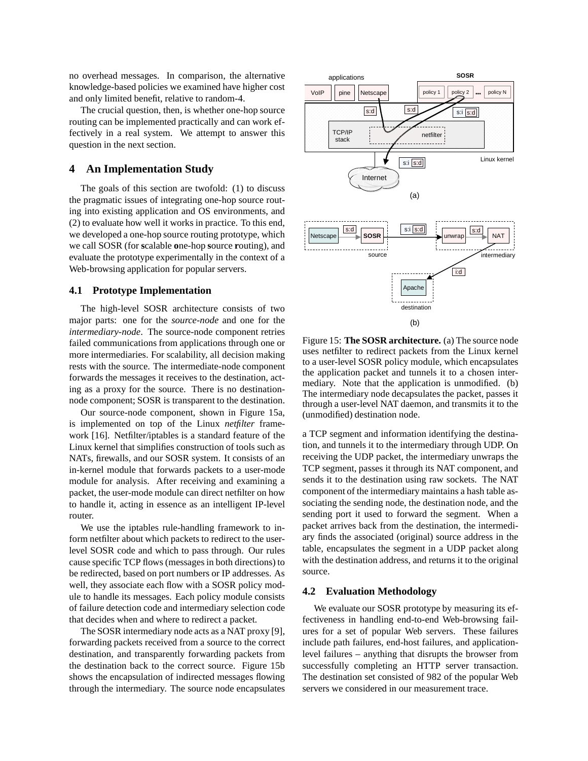no overhead messages. In comparison, the alternative knowledge-based policies we examined have higher cost and only limited benefit, relative to random-4.

The crucial question, then, is whether one-hop source routing can be implemented practically and can work effectively in a real system. We attempt to answer this question in the next section.

# **4 An Implementation Study**

The goals of this section are twofold: (1) to discuss the pragmatic issues of integrating one-hop source routing into existing application and OS environments, and (2) to evaluate how well it works in practice. To this end, we developed a one-hop source routing prototype, which we call SOSR (for **s**calable **o**ne-hop **s**ource **r**outing), and evaluate the prototype experimentally in the context of a Web-browsing application for popular servers.

## **4.1 Prototype Implementation**

The high-level SOSR architecture consists of two major parts: one for the *source-node* and one for the *intermediary-node*. The source-node component retries failed communications from applications through one or more intermediaries. For scalability, all decision making rests with the source. The intermediate-node component forwards the messages it receives to the destination, acting as a proxy for the source. There is no destinationnode component; SOSR is transparent to the destination.

Our source-node component, shown in Figure 15a, is implemented on top of the Linux *netfilter* framework [16]. Netfilter/iptables is a standard feature of the Linux kernel that simplifies construction of tools such as NATs, firewalls, and our SOSR system. It consists of an in-kernel module that forwards packets to a user-mode module for analysis. After receiving and examining a packet, the user-mode module can direct netfilter on how to handle it, acting in essence as an intelligent IP-level router.

We use the iptables rule-handling framework to inform netfilter about which packets to redirect to the userlevel SOSR code and which to pass through. Our rules cause specific TCP flows (messages in both directions) to be redirected, based on port numbers or IP addresses. As well, they associate each flow with a SOSR policy module to handle its messages. Each policy module consists of failure detection code and intermediary selection code that decides when and where to redirect a packet.

The SOSR intermediary node acts as a NAT proxy [9], forwarding packets received from a source to the correct destination, and transparently forwarding packets from the destination back to the correct source. Figure 15b shows the encapsulation of indirected messages flowing through the intermediary. The source node encapsulates



Figure 15: **The SOSR architecture.** (a) The source node uses netfilter to redirect packets from the Linux kernel to a user-level SOSR policy module, which encapsulates the application packet and tunnels it to a chosen intermediary. Note that the application is unmodified. (b) The intermediary node decapsulates the packet, passes it through a user-level NAT daemon, and transmits it to the (unmodified) destination node.

a TCP segment and information identifying the destination, and tunnels it to the intermediary through UDP. On receiving the UDP packet, the intermediary unwraps the TCP segment, passes it through its NAT component, and sends it to the destination using raw sockets. The NAT component of the intermediary maintains a hash table associating the sending node, the destination node, and the sending port it used to forward the segment. When a packet arrives back from the destination, the intermediary finds the associated (original) source address in the table, encapsulates the segment in a UDP packet along with the destination address, and returns it to the original source.

# **4.2 Evaluation Methodology**

We evaluate our SOSR prototype by measuring its effectiveness in handling end-to-end Web-browsing failures for a set of popular Web servers. These failures include path failures, end-host failures, and applicationlevel failures – anything that disrupts the browser from successfully completing an HTTP server transaction. The destination set consisted of 982 of the popular Web servers we considered in our measurement trace.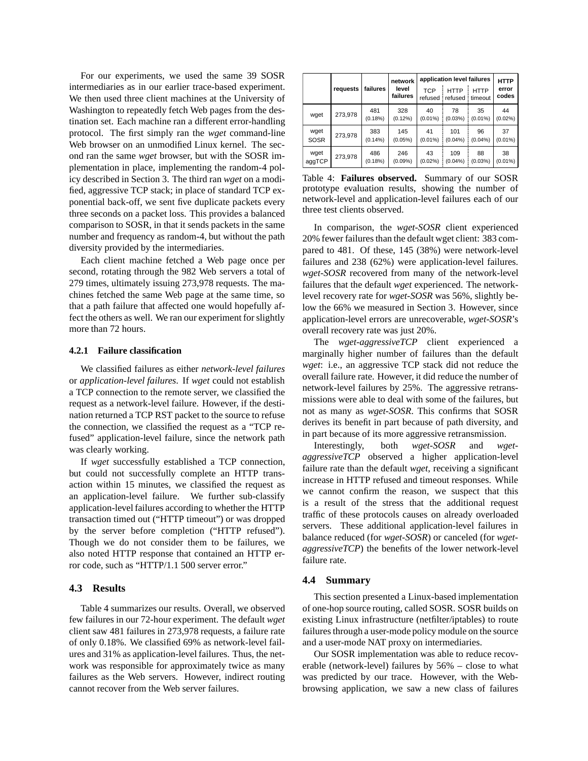For our experiments, we used the same 39 SOSR intermediaries as in our earlier trace-based experiment. We then used three client machines at the University of Washington to repeatedly fetch Web pages from the destination set. Each machine ran a different error-handling protocol. The first simply ran the *wget* command-line Web browser on an unmodified Linux kernel. The second ran the same *wget* browser, but with the SOSR implementation in place, implementing the random-4 policy described in Section 3. The third ran *wget* on a modified, aggressive TCP stack; in place of standard TCP exponential back-off, we sent five duplicate packets every three seconds on a packet loss. This provides a balanced comparison to SOSR, in that it sends packets in the same number and frequency as random-4, but without the path diversity provided by the intermediaries.

Each client machine fetched a Web page once per second, rotating through the 982 Web servers a total of 279 times, ultimately issuing 273,978 requests. The machines fetched the same Web page at the same time, so that a path failure that affected one would hopefully affect the others as well. We ran our experiment for slightly more than 72 hours.

#### **4.2.1 Failure classification**

We classified failures as either *network-level failures* or *application-level failures*. If *wget* could not establish a TCP connection to the remote server, we classified the request as a network-level failure. However, if the destination returned a TCP RST packet to the source to refuse the connection, we classified the request as a "TCP refused" application-level failure, since the network path was clearly working.

If *wget* successfully established a TCP connection, but could not successfully complete an HTTP transaction within 15 minutes, we classified the request as an application-level failure. We further sub-classify application-level failures according to whether the HTTP transaction timed out ("HTTP timeout") or was dropped by the server before completion ("HTTP refused"). Though we do not consider them to be failures, we also noted HTTP response that contained an HTTP error code, such as "HTTP/1.1 500 server error."

### **4.3 Results**

Table 4 summarizes our results. Overall, we observed few failures in our 72-hour experiment. The default *wget* client saw 481 failures in 273,978 requests, a failure rate of only 0.18%. We classified 69% as network-level failures and 31% as application-level failures. Thus, the network was responsible for approximately twice as many failures as the Web servers. However, indirect routing cannot recover from the Web server failures.

|                     |          |                   |                   | application level failures |                        |                  | <b>HTTP</b>      |
|---------------------|----------|-------------------|-------------------|----------------------------|------------------------|------------------|------------------|
|                     | requests | failures          | level<br>failures | <b>TCP</b><br>refused      | <b>HTTP</b><br>refused | HTTP<br>timeout  | error<br>codes   |
| wget                | 273,978  | 481<br>(0.18%)    | 328<br>$(0.12\%)$ | 40<br>$(0.01\%)$           | 78<br>(0.03%)          | 35<br>$(0.01\%)$ | 44<br>$(0.02\%)$ |
| wget<br><b>SOSR</b> | 273,978  | 383<br>$(0.14\%)$ | 145<br>$(0.05\%)$ | 41<br>$(0.01\%)$           | 101<br>(0.04%          | 96<br>$(0.04\%)$ | 37<br>$(0.01\%)$ |
| wget<br>aggTCP      | 273,978  | 486<br>(0.18%)    | 246<br>(0.09%     | 43<br>$(0.02\%)$           | 109<br>(0.04%          | 88<br>$(0.03\%)$ | 38<br>$(0.01\%)$ |

Table 4: **Failures observed.** Summary of our SOSR prototype evaluation results, showing the number of network-level and application-level failures each of our three test clients observed.

In comparison, the *wget-SOSR* client experienced 20% fewer failures than the default wget client: 383 compared to 481. Of these, 145 (38%) were network-level failures and 238 (62%) were application-level failures. *wget-SOSR* recovered from many of the network-level failures that the default *wget* experienced. The networklevel recovery rate for *wget-SOSR* was 56%, slightly below the 66% we measured in Section 3. However, since application-level errors are unrecoverable, *wget-SOSR*'s overall recovery rate was just 20%.

The *wget-aggressiveTCP* client experienced a marginally higher number of failures than the default *wget*: i.e., an aggressive TCP stack did not reduce the overall failure rate. However, it did reduce the number of network-level failures by 25%. The aggressive retransmissions were able to deal with some of the failures, but not as many as *wget-SOSR*. This confirms that SOSR derives its benefit in part because of path diversity, and in part because of its more aggressive retransmission.

Interestingly, both *wget-SOSR* and *wgetaggressiveTCP* observed a higher application-level failure rate than the default *wget*, receiving a significant increase in HTTP refused and timeout responses. While we cannot confirm the reason, we suspect that this is a result of the stress that the additional request traffic of these protocols causes on already overloaded servers. These additional application-level failures in balance reduced (for *wget-SOSR*) or canceled (for *wgetaggressiveTCP*) the benefits of the lower network-level failure rate.

### **4.4 Summary**

This section presented a Linux-based implementation of one-hop source routing, called SOSR. SOSR builds on existing Linux infrastructure (netfilter/iptables) to route failures through a user-mode policy module on the source and a user-mode NAT proxy on intermediaries.

Our SOSR implementation was able to reduce recoverable (network-level) failures by 56% – close to what was predicted by our trace. However, with the Webbrowsing application, we saw a new class of failures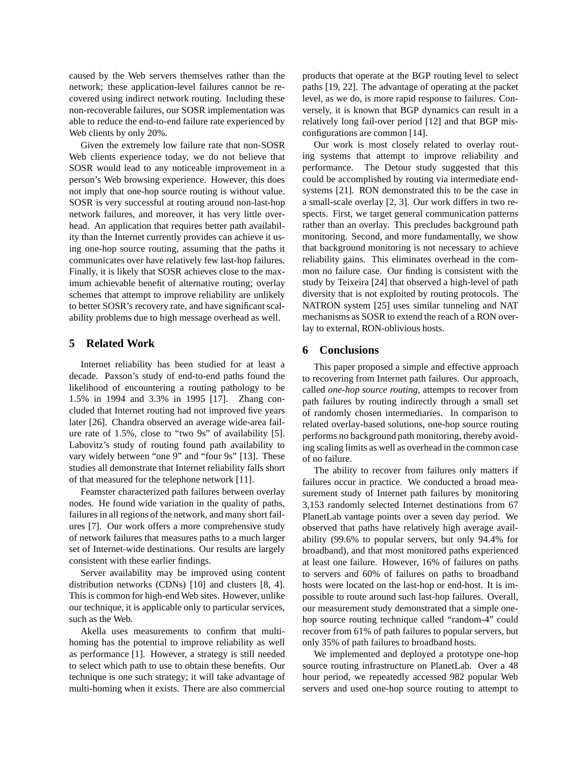caused by the Web servers themselves rather than the network; these application-level failures cannot be recovered using indirect network routing. Including these non-recoverable failures, our SOSR implementation was able to reduce the end-to-end failure rate experienced by Web clients by only 20%.

Given the extremely low failure rate that non-SOSR Web clients experience today, we do not believe that SOSR would lead to any noticeable improvement in a person's Web browsing experience. However, this does not imply that one-hop source routing is without value. SOSR is very successful at routing around non-last-hop network failures, and moreover, it has very little overhead. An application that requires better path availability than the Internet currently provides can achieve it using one-hop source routing, assuming that the paths it communicates over have relatively few last-hop failures. Finally, it is likely that SOSR achieves close to the maximum achievable benefit of alternative routing; overlay schemes that attempt to improve reliability are unlikely to better SOSR's recovery rate, and have significant scalability problems due to high message overhead as well.

# **5 Related Work**

Internet reliability has been studied for at least a decade. Paxson's study of end-to-end paths found the likelihood of encountering a routing pathology to be 1.5% in 1994 and 3.3% in 1995 [17]. Zhang concluded that Internet routing had not improved five years later [26]. Chandra observed an average wide-area failure rate of 1.5%, close to "two 9s" of availability [5]. Labovitz's study of routing found path availability to vary widely between "one 9" and "four 9s" [13]. These studies all demonstrate that Internet reliability falls short of that measured for the telephone network [11].

Feamster characterized path failures between overlay nodes. He found wide variation in the quality of paths, failures in all regions of the network, and many short failures [7]. Our work offers a more comprehensive study of network failures that measures paths to a much larger set of Internet-wide destinations. Our results are largely consistent with these earlier findings.

Server availability may be improved using content distribution networks (CDNs) [10] and clusters [8, 4]. This is common for high-end Web sites. However, unlike our technique, it is applicable only to particular services, such as the Web.

Akella uses measurements to confirm that multihoming has the potential to improve reliability as well as performance [1]. However, a strategy is still needed to select which path to use to obtain these benefits. Our technique is one such strategy; it will take advantage of multi-homing when it exists. There are also commercial products that operate at the BGP routing level to select paths [19, 22]. The advantage of operating at the packet level, as we do, is more rapid response to failures. Conversely, it is known that BGP dynamics can result in a relatively long fail-over period [12] and that BGP misconfigurations are common [14].

Our work is most closely related to overlay routing systems that attempt to improve reliability and performance. The Detour study suggested that this could be accomplished by routing via intermediate endsystems [21]. RON demonstrated this to be the case in a small-scale overlay [2, 3]. Our work differs in two respects. First, we target general communication patterns rather than an overlay. This precludes background path monitoring. Second, and more fundamentally, we show that background monitoring is not necessary to achieve reliability gains. This eliminates overhead in the common no failure case. Our finding is consistent with the study by Teixeira [24] that observed a high-level of path diversity that is not exploited by routing protocols. The NATRON system [25] uses similar tunneling and NAT mechanisms as SOSR to extend the reach of a RON overlay to external, RON-oblivious hosts.

# **6 Conclusions**

This paper proposed a simple and effective approach to recovering from Internet path failures. Our approach, called *one-hop source routing*, attempts to recover from path failures by routing indirectly through a small set of randomly chosen intermediaries. In comparison to related overlay-based solutions, one-hop source routing performs no background path monitoring, thereby avoiding scaling limits as well as overhead in the common case of no failure.

The ability to recover from failures only matters if failures occur in practice. We conducted a broad measurement study of Internet path failures by monitoring 3,153 randomly selected Internet destinations from 67 PlanetLab vantage points over a seven day period. We observed that paths have relatively high average availability (99.6% to popular servers, but only 94.4% for broadband), and that most monitored paths experienced at least one failure. However, 16% of failures on paths to servers and 60% of failures on paths to broadband hosts were located on the last-hop or end-host. It is impossible to route around such last-hop failures. Overall, our measurement study demonstrated that a simple onehop source routing technique called "random-4" could recover from 61% of path failures to popular servers, but only 35% of path failures to broadband hosts.

We implemented and deployed a prototype one-hop source routing infrastructure on PlanetLab. Over a 48 hour period, we repeatedly accessed 982 popular Web servers and used one-hop source routing to attempt to